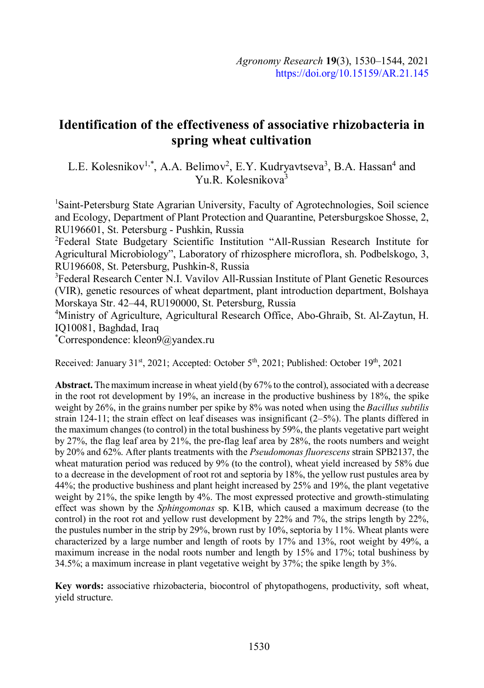# **Identification of the effectiveness of associative rhizobacteria in spring wheat cultivation**

L.E. Kolesnikov<sup>1,\*</sup>, A.A. Belimov<sup>2</sup>, E.Y. Kudryavtseva<sup>3</sup>, B.A. Hassan<sup>4</sup> and Yu.R. Kolesnikova<sup>3</sup>

<sup>1</sup>Saint-Petersburg State Agrarian University, Faculty of Agrotechnologies, Soil science and Ecology, Department of Plant Protection and Quarantine, Petersburgskoe Shosse, 2, RU196601, St. Petersburg - Pushkin, Russia

<sup>2</sup>Federal State Budgetary Scientific Institution "All-Russian Research Institute for Agricultural Microbiology", Laboratory of rhizosphere microflora, sh. Podbelskogo, 3, RU196608, St. Petersburg, Pushkin-8, Russia

<sup>3</sup>Federal Research Center N.I. Vavilov All-Russian Institute of Plant Genetic Resources (VIR), genetic resources of wheat department, plant introduction department, Bolshaya Morskaya Str. 42–44, RU190000, St. Petersburg, Russia

<sup>4</sup>Ministry of Agriculture, Agricultural Research Office, Abo-Ghraib, St. Al-Zaytun, H. IQ10081, Baghdad, Iraq

\*Correspondence: kleon9@yandex.ru

Received: January 31st, 2021; Accepted: October 5<sup>th</sup>, 2021; Published: October 19<sup>th</sup>, 2021

**Abstract.** The maximum increase in wheat yield (by 67% to the control), associated with a decrease in the root rot development by 19%, an increase in the productive bushiness by 18%, the spike weight by 26%, in the grains number per spike by 8% was noted when using the *Bacillus subtilis* strain 124-11; the strain effect on leaf diseases was insignificant  $(2-5%)$ . The plants differed in the maximum changes (to control) in the total bushiness by 59%, the plants vegetative part weight by 27%, the flag leaf area by 21%, the pre-flag leaf area by 28%, the roots numbers and weight by 20% and 62%. After plants treatments with the *Pseudomonas fluorescens* strain SPB2137, the wheat maturation period was reduced by 9% (to the control), wheat yield increased by 58% due to a decrease in the development of root rot and septoria by 18%, the yellow rust pustules area by 44%; the productive bushiness and plant height increased by 25% and 19%, the plant vegetative weight by 21%, the spike length by 4%. The most expressed protective and growth-stimulating effect was shown by the *Sphingomonas* sp. K1B, which caused a maximum decrease (to the control) in the root rot and yellow rust development by 22% and 7%, the strips length by 22%, the pustules number in the strip by 29%, brown rust by 10%, septoria by 11%. Wheat plants were characterized by a large number and length of roots by 17% and 13%, root weight by 49%, a maximum increase in the nodal roots number and length by 15% and 17%; total bushiness by 34.5%; a maximum increase in plant vegetative weight by 37%; the spike length by 3%.

**Key words:** associative rhizobacteria, biocontrol of phytopathogens, productivity, soft wheat, yield structure.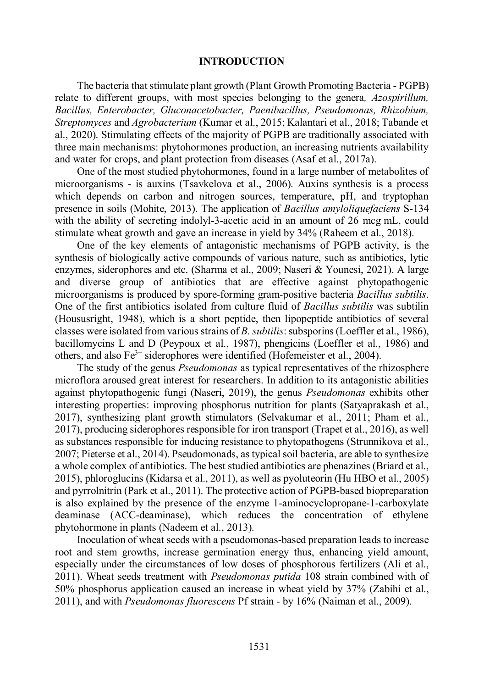### **INTRODUCTION**

The bacteria that stimulate plant growth (Plant Growth Promoting Bacteria - PGPB) relate to different groups, with most species belonging to the genera*, Azospirillum, Bacillus, Enterobacter, Gluconacetobacter, Paenibacillus, Pseudomonas, Rhizobium, Streptomyces* and *Agrobacterium* (Kumar et al., 2015; Kalantari et al., 2018; Tabande et al., 2020). Stimulating effects of the majority of PGPB are traditionally associated with three main mechanisms: phytohormones production, an increasing nutrients availability and water for crops, and plant protection from diseases (Asaf et al., 2017a).

One of the most studied phytohormones, found in a large number of metabolites of microorganisms - is auxins (Tsavkelova et al., 2006). Auxins synthesis is a process which depends on carbon and nitrogen sources, temperature, pH, and tryptophan presence in soils (Mohite, 2013). The application of *Bacillus amyloliquefaciens* S-134 with the ability of secreting indolyl-3-acetic acid in an amount of 26 mcg mL, could stimulate wheat growth and gave an increase in yield by 34% (Raheem et al., 2018).

One of the key elements of antagonistic mechanisms of PGPB activity, is the synthesis of biologically active compounds of various nature, such as antibiotics, lytic enzymes, siderophores and etc. (Sharma et al., 2009; Naseri & Younesi, 2021). A large and diverse group of antibiotics that are effective against phytopathogenic microorganisms is produced by spore-forming gram-positive bacteria *Bacillus subtilis*. One of the first antibiotics isolated from culture fluid of *Bacillus subtilis* was subtilin (Housusright, 1948), which is a short peptide, then lipopeptide antibiotics of several classes were isolated from various strains of *B. subtilis*: subsporins (Loeffler et al., 1986), bacillomycins L and D (Peypoux et al., 1987), phengicins (Loeffler et al., 1986) and others, and also  $Fe<sup>3+</sup>$  siderophores were identified (Hofemeister et al., 2004).

The study of the genus *Pseudomonas* as typical representatives of the rhizosphere microflora aroused great interest for researchers. In addition to its antagonistic abilities against phytopathogenic fungi (Naseri, 2019), the genus *Pseudomonas* exhibits other interesting properties: improving phosphorus nutrition for plants (Satyaprakash et al., 2017), synthesizing plant growth stimulators (Selvakumar et al., 2011; Pham et al., 2017), producing siderophores responsible for iron transport (Trapet et al., 2016), as well as substances responsible for inducing resistance to phytopathogens (Strunnikova et al., 2007; Pieterse et al., 2014). Pseudomonads, as typical soil bacteria, are able to synthesize a whole complex of antibiotics. The best studied antibiotics are phenazines (Briard et al., 2015), phloroglucins (Kidarsa et al., 2011), as well as pyoluteorin (Hu HBO et al., 2005) and pyrrolnitrin (Park et al., 2011). The protective action of PGPB-based biopreparation is also explained by the presence of the enzyme 1-aminocyclopropane-1-carboxylate deaminase (ACC-deaminase), which reduces the concentration of ethylene phytohormone in plants (Nadeem et al., 2013).

Inoculation of wheat seeds with a pseudomonas-based preparation leads to increase root and stem growths, increase germination energy thus, enhancing yield amount, especially under the circumstances of low doses of phosphorous fertilizers (Ali et al., 2011). Wheat seeds treatment with *Pseudomonas putida* 108 strain combined with of 50% phosphorus application caused an increase in wheat yield by 37% (Zabihi et al., 2011), and with *Pseudomonas fluorescens* Pf strain - by 16% (Naiman et al., 2009).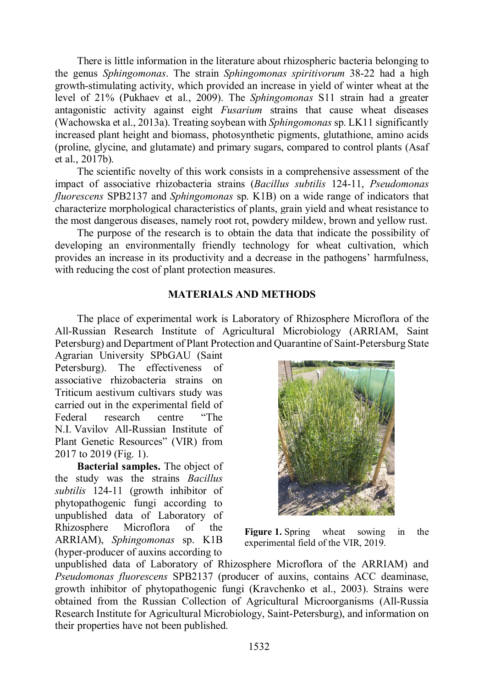There is little information in the literature about rhizospheric bacteria belonging to the genus *Sphingomonas*. The strain *Sphingomonas spiritivorum* 38-22 had a high growth-stimulating activity, which provided an increase in yield of winter wheat at the level of 21% (Pukhaev et al., 2009). The *Sphingomonas* S11 strain had a greater antagonistic activity against eight *Fusarium* strains that cause wheat diseases (Wachowska et al., 2013a). Treating soybean with *Sphingomonas* sp. LK11 significantly increased plant height and biomass, photosynthetic pigments, glutathione, amino acids (proline, glycine, and glutamate) and primary sugars, compared to control plants (Asaf et al., 2017b).

The scientific novelty of this work consists in a comprehensive assessment of the impact of associative rhizobacteria strains (*Bacillus subtilis* 124-11, *Pseudomonas fluorescens* SPB2137 and *Sphingomonas* sp. K1B) on a wide range of indicators that characterize morphological characteristics of plants, grain yield and wheat resistance to the most dangerous diseases, namely root rot, powdery mildew, brown and yellow rust.

The purpose of the research is to obtain the data that indicate the possibility of developing an environmentally friendly technology for wheat cultivation, which provides an increase in its productivity and a decrease in the pathogens' harmfulness, with reducing the cost of plant protection measures.

# **MATERIALS AND METHODS**

The place of experimental work is Laboratory of Rhizosphere Microflora of the All-Russian Research Institute of Agricultural Microbiology (ARRIAM, Saint Petersburg) and Department of Plant Protection and Quarantine of Saint-Petersburg State

Agrarian University SPbGAU (Saint Petersburg). The effectiveness of associative rhizobacteria strains on Triticum aestivum cultivars study was carried out in the experimental field of Federal research centre "The N.I. Vavilov All-Russian Institute of Plant Genetic Resources" (VIR) from 2017 to 2019 (Fig. 1).

**Bacterial samples.** The object of the study was the strains *Bacillus subtilis* 124-11 (growth inhibitor of phytopathogenic fungi according to unpublished data of Laboratory of Rhizosphere Microflora of the ARRIAM), *Sphingomonas* sp. K1B (hyper-producer of auxins according to



**Figure 1.** Spring wheat sowing in the experimental field of the VIR, 2019.

unpublished data of Laboratory of Rhizosphere Microflora of the ARRIAM) and *Pseudomonas fluorescens* SPB2137 (producer of auxins, contains ACC deaminase, growth inhibitor of phytopathogenic fungi (Kravchenko et al., 2003). Strains were obtained from the Russian Collection of Agricultural Microorganisms (All-Russia Research Institute for Agricultural Microbiology, Saint-Petersburg), and information on their properties have not been published.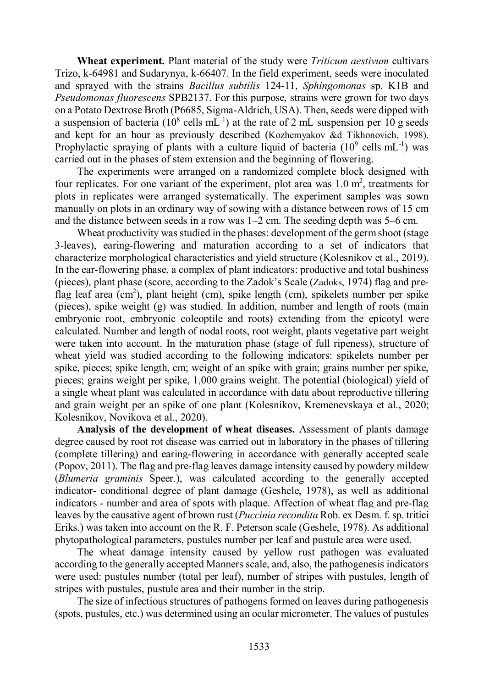**Wheat experiment.** Plant material of the study were *Triticum aestivum* cultivars Trizo, k-64981 and Sudarynya, k-66407. In the field experiment, seeds were inoculated and sprayed with the strains *Bacillus subtilis* 124-11, *Sphingomonas* sp. K1B and *Pseudomonas fluorescens* SPB2137. For this purpose, strains were grown for two days on a Potato Dextrose Broth (P6685, Sigma-Aldrich, USA). Then, seeds were dipped with a suspension of bacteria ( $10^8$  cells mL<sup>-1</sup>) at the rate of 2 mL suspension per 10 g seeds and kept for an hour as previously described (Kozhemyakov &d Tikhonovich, 1998). Prophylactic spraying of plants with a culture liquid of bacteria  $(10^9 \text{ cells } mL^{-1})$  was carried out in the phases of stem extension and the beginning of flowering.

The experiments were arranged on a randomized complete block designed with four replicates. For one variant of the experiment, plot area was  $1.0 \text{ m}^2$ , treatments for plots in replicates were arranged systematically. The experiment samples was sown manually on plots in an ordinary way of sowing with a distance between rows of 15 cm and the distance between seeds in a row was 1–2 cm. The seeding depth was 5–6 cm.

Wheat productivity was studied in the phases: development of the germ shoot (stage 3-leaves), earing-flowering and maturation according to a set of indicators that characterize morphological characteristics and yield structure (Kolesnikov et al., 2019). In the ear-flowering phase, a complex of plant indicators: productive and total bushiness (pieces), plant phase (score, according to the Zadok's Scale (Zadoks, 1974) flag and preflag leaf area (cm<sup>2</sup>), plant height (cm), spike length (cm), spikelets number per spike (pieces), spike weight (g) was studied. In addition, number and length of roots (main embryonic root, embryonic coleoptile and roots) extending from the epicotyl were calculated. Number and length of nodal roots, root weight, plants vegetative part weight were taken into account. In the maturation phase (stage of full ripeness), structure of wheat yield was studied according to the following indicators: spikelets number per spike, pieces; spike length, cm; weight of an spike with grain; grains number per spike, pieces; grains weight per spike, 1,000 grains weight. The potential (biological) yield of a single wheat plant was calculated in accordance with data about reproductive tillering and grain weight per an spike of one plant (Kolesnikov, Kremenevskaya et al., 2020; Kolesnikov, Novikova et al., 2020).

**Analysis of the development of wheat diseases.** Assessment of plants damage degree caused by root rot disease was carried out in laboratory in the phases of tillering (complete tillering) and earing-flowering in accordance with generally accepted scale (Popov, 2011). The flag and pre-flag leaves damage intensity caused by powdery mildew (*Blumeria graminis* Speer.), was calculated according to the generally accepted indicator- conditional degree of plant damage (Geshele, 1978), as well as additional indicators - number and area of spots with plaque. Affection of wheat flag and pre-flag leaves by the causative agent of brown rust (*Puccinia recondita* Rob. ex Desm. f. sp. tritici Eriks.) was taken into account on the R. F. Peterson scale (Geshele, 1978). As additional phytopathological parameters, pustules number per leaf and pustule area were used.

The wheat damage intensity caused by yellow rust pathogen was evaluated according to the generally accepted Manners scale, and, also, the pathogenesis indicators were used: pustules number (total per leaf), number of stripes with pustules, length of stripes with pustules, pustule area and their number in the strip.

The size of infectious structures of pathogens formed on leaves during pathogenesis (spots, pustules, etc.) was determined using an ocular micrometer. The values of pustules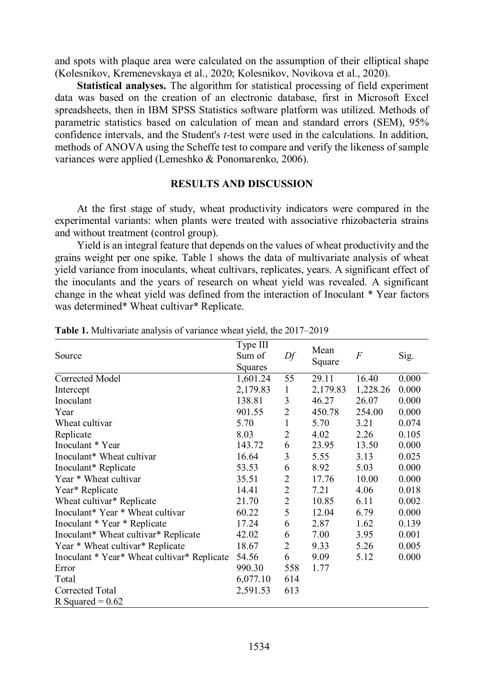and spots with plaque area were calculated on the assumption of their elliptical shape (Kolesnikov, Kremenevskaya et al., 2020; Kolesnikov, Novikova et al., 2020).

**Statistical analyses.** The algorithm for statistical processing of field experiment data was based on the creation of an electronic database, first in Microsoft Excel spreadsheets, then in IBM SPSS Statistics software platform was utilized. Methods of parametric statistics based on calculation of mean and standard errors (SEM), 95% confidence intervals, and the Student's *t-*test were used in the calculations. In addition, methods of ANOVA using the Scheffe test to compare and verify the likeness of sample variances were applied (Lemeshko & Ponomarenko, 2006).

## **RESULTS AND DISCUSSION**

At the first stage of study, wheat productivity indicators were compared in the experimental variants: when plants were treated with associative rhizobacteria strains and without treatment (control group).

Yield is an integral feature that depends on the values of wheat productivity and the grains weight per one spike. Table 1 shows the data of multivariate analysis of wheat yield variance from inoculants, wheat cultivars, replicates, years. A significant effect of the inoculants and the years of research on wheat yield was revealed. A significant change in the wheat yield was defined from the interaction of Inoculant \* Year factors was determined\* Wheat cultivar\* Replicate.

| Source                                      | Type III | Df             | Mean<br>Square | $\overline{F}$ | Sig.  |
|---------------------------------------------|----------|----------------|----------------|----------------|-------|
|                                             | Sum of   |                |                |                |       |
|                                             | Squares  |                |                |                |       |
| Corrected Model                             | 1,601.24 | 55             | 29.11          | 16.40          | 0.000 |
| Intercept                                   | 2,179.83 | 1              | 2,179.83       | 1,228.26       | 0.000 |
| Inoculant                                   | 138.81   | 3              | 46.27          | 26.07          | 0.000 |
| Year                                        | 901.55   | $\overline{2}$ | 450.78         | 254.00         | 0.000 |
| Wheat cultivar                              | 5.70     | $\mathbf{1}$   | 5.70           | 3.21           | 0.074 |
| Replicate                                   | 8.03     | $\overline{c}$ | 4.02           | 2.26           | 0.105 |
| Inoculant * Year                            | 143.72   | 6              | 23.95          | 13.50          | 0.000 |
| Inoculant <sup>*</sup> Wheat cultivar       | 16.64    | 3              | 5.55           | 3.13           | 0.025 |
| Inoculant* Replicate                        | 53.53    | 6              | 8.92           | 5.03           | 0.000 |
| Year * Wheat cultivar                       | 35.51    | $\overline{2}$ | 17.76          | 10.00          | 0.000 |
| Year* Replicate                             | 14.41    | $\overline{c}$ | 7.21           | 4.06           | 0.018 |
| Wheat cultivar* Replicate                   | 21.70    | $\overline{2}$ | 10.85          | 6.11           | 0.002 |
| Inoculant* Year * Wheat cultivar            | 60.22    | 5              | 12.04          | 6.79           | 0.000 |
| Inoculant * Year * Replicate                | 17.24    | 6              | 2.87           | 1.62           | 0.139 |
| Inoculant* Wheat cultivar* Replicate        | 42.02    | 6              | 7.00           | 3.95           | 0.001 |
| Year * Wheat cultivar* Replicate            | 18.67    | $\overline{c}$ | 9.33           | 5.26           | 0.005 |
| Inoculant * Year* Wheat cultivar* Replicate | 54.56    | 6              | 9.09           | 5.12           | 0.000 |
| Error                                       | 990.30   | 558            | 1.77           |                |       |
| Total                                       | 6,077.10 | 614            |                |                |       |
| Corrected Total                             | 2,591.53 | 613            |                |                |       |
| R Squared = $0.62$                          |          |                |                |                |       |

**Table 1.** Multivariate analysis of variance wheat yield, the 2017–2019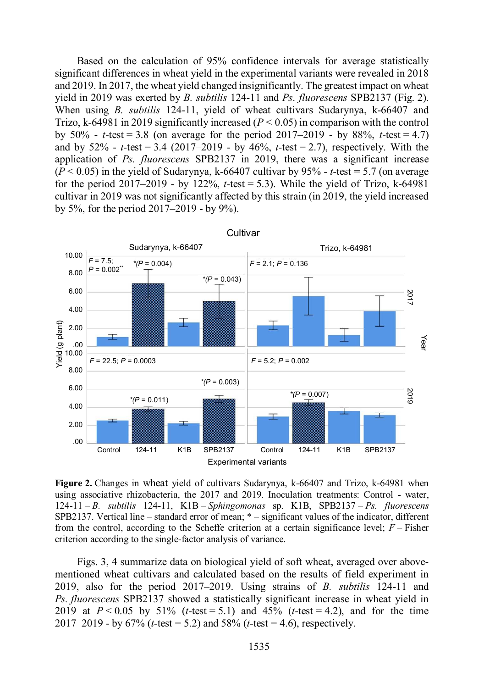Based on the calculation of 95% confidence intervals for average statistically significant differences in wheat yield in the experimental variants were revealed in 2018 and 2019. In 2017, the wheat yield changed insignificantly. The greatest impact on wheat yield in 2019 was exerted by *B. subtilis* 124-11 and *Ps. fluorescens* SPB2137 (Fig. 2). When using *B. subtilis* 124-11, yield of wheat cultivars Sudarynya, k-66407 and Trizo, k-64981 in 2019 significantly increased  $(P < 0.05)$  in comparison with the control by  $50\%$  - *t*-test = 3.8 (on average for the period  $2017-2019$  - by 88%, *t*-test = 4.7) and by 52% - *t-*test = 3.4 (2017–2019 - by 46%, *t-*test = 2.7), respectively. With the application of *Ps. fluorescens* SPB2137 in 2019, there was a significant increase  $(P < 0.05)$  in the yield of Sudarynya, k-66407 cultivar by 95% - *t*-test = 5.7 (on average for the period  $2017-2019$  - by  $122\%$ , *t*-test = 5.3). While the yield of Trizo, k-64981 cultivar in 2019 was not significantly affected by this strain (in 2019, the yield increased by 5%, for the period 2017–2019 - by 9%).



**Figure 2.** Changes in wheat yield of cultivars Sudarynya, k-66407 and Trizo, k-64981 when using associative rhizobacteria, the 2017 and 2019. Inoculation treatments: Control - water, 124-11 – *B. subtilis* 124-11, K1B – *Sphingomonas* sp. K1B, SPB2137 – *Ps. fluorescens* SPB2137. Vertical line – standard error of mean; \* – significant values of the indicator, different from the control, according to the Scheffe criterion at a certain significance level; *F* – Fisher criterion according to the single-factor analysis of variance.

Figs. 3, 4 summarize data on biological yield of soft wheat, averaged over abovementioned wheat cultivars and calculated based on the results of field experiment in 2019, also for the period 2017–2019. Using strains of *B. subtilis* 124-11 and *Ps. fluorescens* SPB2137 showed a statistically significant increase in wheat yield in 2019 at *P* < 0.05 by 51% (*t-*test = 5.1) and 45% (*t-*test = 4.2), and for the time 2017–2019 - by 67% (*t-*test = 5.2) and 58% (*t-*test = 4.6), respectively.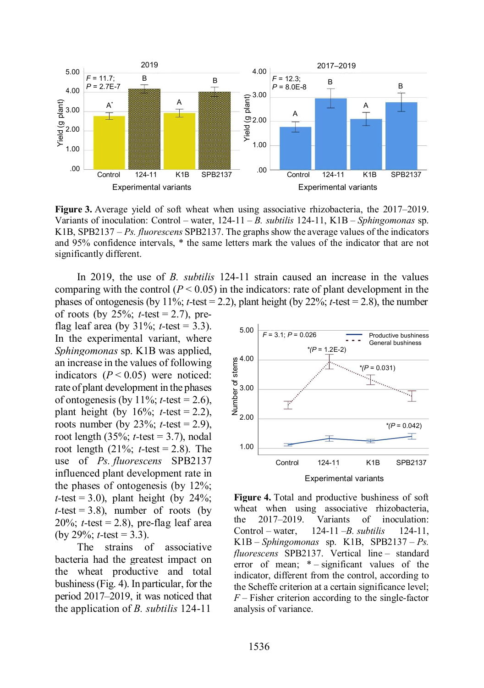

**Figure 3.** Average yield of soft wheat when using associative rhizobacteria, the 2017–2019. Variants of inoculation: Control – water, 124-11 – *B. subtilis* 124-11, K1B – *Sphingomonas* sp. K1B, SPB2137 – *Ps. fluorescens* SPB2137. The graphs show the average values of the indicators and 95% confidence intervals, \* the same letters mark the values of the indicator that are not significantly different.

In 2019, the use of *B. subtilis* 124-11 strain caused an increase in the values comparing with the control  $(P < 0.05)$  in the indicators: rate of plant development in the phases of ontogenesis (by 11%; *t*-test = 2.2), plant height (by 22%; *t*-test = 2.8), the number

of roots (by 25%; *t-*test = 2.7), preflag leaf area (by  $31\%$ ; *t*-test = 3.3). In the experimental variant, where *Sphingomonas* sp. K<sub>1B</sub> was applied, an increase in the values of following indicators  $(P < 0.05)$  were noticed: rate of plant development in the phases of ontogenesis (by  $11\%$ ; *t*-test = 2.6), plant height (by  $16\%$ ; *t*-test = 2.2), roots number (by 23%; *t-*test = 2.9), root length (35%; *t-*test = 3.7), nodal root length (21%; *t-*test = 2.8). The use of *Ps. fluorescens* SPB2137 influenced plant development rate in the phases of ontogenesis (by 12%;  $t$ -test = 3.0), plant height (by 24%;  $t$ -test = 3.8), number of roots (by  $20\%$ ; *t*-test = 2.8), pre-flag leaf area (by 29%; *t-*test = 3.3).

The strains of associative bacteria had the greatest impact on the wheat productive and total bushiness (Fig. 4). In particular, for the period 2017–2019, it was noticed that the application of *B. subtilis* 124-11



**Figure 4.** Total and productive bushiness of soft wheat when using associative rhizobacteria, the 2017–2019. Variants of inoculation: Control – water, 124-11 –*B. subtilis* 124-11, K1B – *Sphingomonas* sp. K1B, SPB2137 – *Ps. fluorescens* SPB2137. Vertical line – standard error of mean;  $*$  – significant values of the indicator, different from the control, according to the Scheffe criterion at a certain significance level; *F* – Fisher criterion according to the single-factor analysis of variance.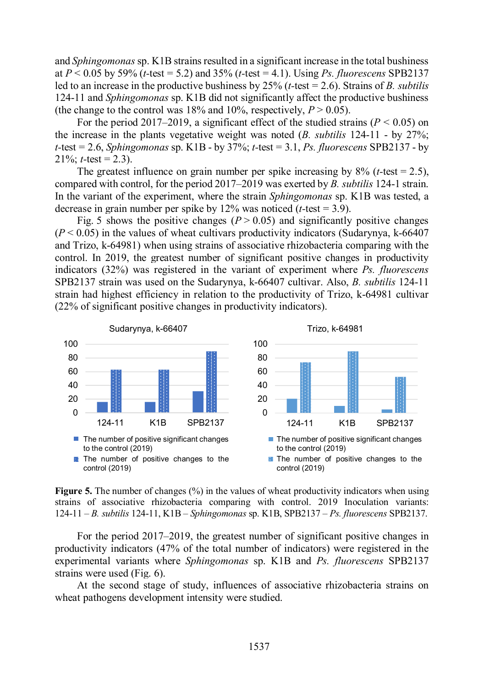and *Sphingomonas* sp. K1B strains resulted in a significant increase in the total bushiness at *P* < 0.05 by 59% (*t-*test = 5.2) and 35% (*t-*test = 4.1). Using *Ps. fluorescens* SPB2137 led to an increase in the productive bushiness by 25% (*t-*test = 2.6). Strains of *B. subtilis* 124-11 and *Sphingomonas* sp. K1B did not significantly affect the productive bushiness (the change to the control was 18% and 10%, respectively,  $P > 0.05$ ).

For the period 2017–2019, a significant effect of the studied strains ( $P < 0.05$ ) on the increase in the plants vegetative weight was noted (*B. subtilis* 124-11 - by 27%; *t-*test = 2.6, *Sphingomonas* sp. K1B - by 37%; *t-*test = 3.1, *Ps. fluorescens* SPB2137 - by 21\%: *t*-test = 2.3).

The greatest influence on grain number per spike increasing by  $8\%$  (*t*-test = 2.5), compared with control, for the period 2017–2019 was exerted by *B. subtilis* 124-1 strain. In the variant of the experiment, where the strain *Sphingomonas* sp. K1B was tested, a decrease in grain number per spike by 12% was noticed (*t-*test = 3.9).

Fig. 5 shows the positive changes  $(P > 0.05)$  and significantly positive changes  $(P < 0.05)$  in the values of wheat cultivars productivity indicators (Sudarynya, k-66407) and Trizo, k-64981) when using strains of associative rhizobacteria comparing with the control. In 2019, the greatest number of significant positive changes in productivity indicators (32%) was registered in the variant of experiment where *Ps. fluorescens*  SPB2137 strain was used on the Sudarynya, k-66407 cultivar. Also, *B. subtilis* 124-11 strain had highest efficiency in relation to the productivity of Trizo, k-64981 cultivar (22% of significant positive changes in productivity indicators).



**Figure 5.** The number of changes (%) in the values of wheat productivity indicators when using strains of associative rhizobacteria comparing with control. 2019 Inoculation variants: 124-11 – *B. subtilis* 124-11, K1B – *Sphingomonas* sp. K1B, SPB2137 – *Ps. fluorescens* SPB2137.

For the period 2017–2019, the greatest number of significant positive changes in productivity indicators (47% of the total number of indicators) were registered in the experimental variants where *Sphingomonas* sp. K1B and *Ps. fluorescens* SPB2137 strains were used (Fig. 6).

At the second stage of study, influences of associative rhizobacteria strains on wheat pathogens development intensity were studied.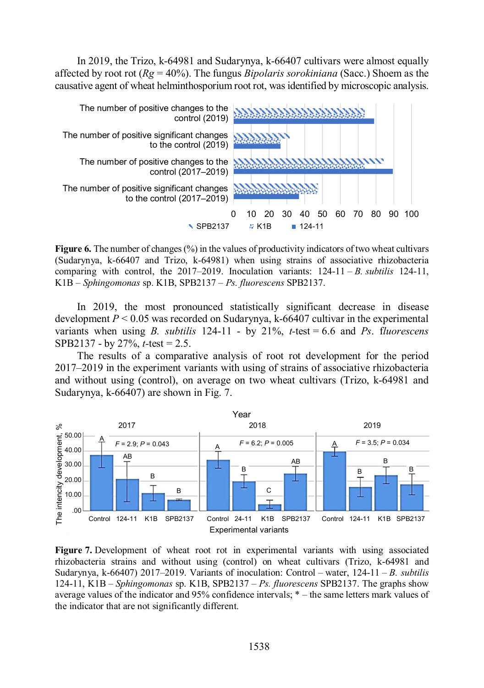In 2019, the Trizo, k-64981 and Sudarynya, k-66407 cultivars were almost equally affected by root rot (*Rg* = 40%). The fungus *Bipolaris sorokiniana* (Sacc.) Shoem as the causative agent of wheat helminthosporium root rot, was identified by microscopic analysis.



**Figure 6.** The number of changes (%) in the values of productivity indicators of two wheat cultivars (Sudarynya, k-66407 and Trizo, k-64981) when using strains of associative rhizobacteria comparing with control, the 2017–2019. Inoculation variants: 124-11 – *B. subtilis* 124-11, K1B – *Sphingomonas* sp. K1B, SPB2137 – *Ps. fluorescens* SPB2137.

In 2019, the most pronounced statistically significant decrease in disease development  $P < 0.05$  was recorded on Sudarynya, k-66407 cultivar in the experimental variants when using *B. subtilis* 124-11 - by 21%, *t-*test = 6.6 and *Ps*. f*luorescens* SPB2137 - by 27%, *t-*test = 2.5.

The results of a comparative analysis of root rot development for the period 2017–2019 in the experiment variants with using of strains of associative rhizobacteria and without using (control), on average on two wheat cultivars (Trizo, k-64981 and Sudarynya, k-66407) are shown in Fig. 7.



**Figure 7.** Development of wheat root rot in experimental variants with using associated rhizobacteria strains and without using (control) on wheat cultivars (Trizo, k-64981 and Sudarynya, k-66407) 2017–2019. Variants of inoculation: Control – water, 124-11 – *B. subtilis* 124-11, K1B – *Sphingomonas* sp. K1B, SPB2137 – *Ps. fluorescens* SPB2137. The graphs show average values of the indicator and 95% confidence intervals; \* – the same letters mark values of the indicator that are not significantly different.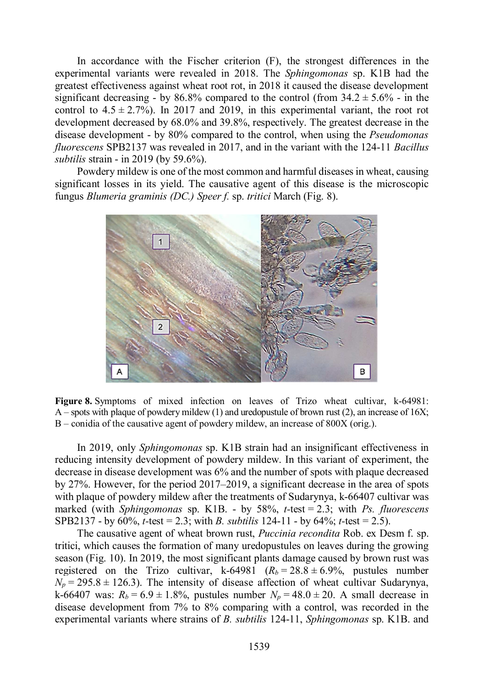In accordance with the Fischer criterion (F), the strongest differences in the experimental variants were revealed in 2018. The *Sphingomonas* sp. K1B had the greatest effectiveness against wheat root rot, in 2018 it caused the disease development significant decreasing - by 86.8% compared to the control (from  $34.2 \pm 5.6\%$  - in the control to  $4.5 \pm 2.7\%$ ). In 2017 and 2019, in this experimental variant, the root rot development decreased by 68.0% and 39.8%, respectively. The greatest decrease in the disease development - by 80% compared to the control, when using the *Pseudomonas fluorescens* SPB2137 was revealed in 2017, and in the variant with the 124-11 *Bacillus subtilis* strain - in 2019 (by 59.6%).

Powdery mildew is one of the most common and harmful diseases in wheat, causing significant losses in its yield. The causative agent of this disease is the microscopic fungus *Blumeria graminis (DC.) Speer f.* sp. *tritici* March (Fig. 8).



**Figure 8.** Symptoms of mixed infection on leaves of Trizo wheat cultivar, k-64981: A – spots with plaque of powdery mildew (1) and uredopustule of brown rust (2), an increase of 16X; B – conidia of the causative agent of powdery mildew, an increase of 800X (orig.).

In 2019, only *Sphingomonas* sp. K1B strain had an insignificant effectiveness in reducing intensity development of powdery mildew. In this variant of experiment, the decrease in disease development was 6% and the number of spots with plaque decreased by 27%. However, for the period 2017–2019, a significant decrease in the area of spots with plaque of powdery mildew after the treatments of Sudarynya, k-66407 cultivar was marked (with *Sphingomonas* sp. K1B. - by 58%, *t-*test = 2.3; with *Ps. fluorescens* SPB2137 - by 60%, *t-*test = 2.3; with *B. subtilis* 124-11 - by 64%; *t-*test = 2.5).

The causative agent of wheat brown rust, *Puccinia recondita* Rob. ex Desm f. sp. tritici, which causes the formation of many uredopustules on leaves during the growing season (Fig. 10). In 2019, the most significant plants damage caused by brown rust was registered on the Trizo cultivar, k-64981  $(R_b = 28.8 \pm 6.9\%$ , pustules number  $N_p = 295.8 \pm 126.3$ . The intensity of disease affection of wheat cultivar Sudarynya, k-66407 was:  $R_b = 6.9 \pm 1.8\%$ , pustules number  $N_p = 48.0 \pm 20$ . A small decrease in disease development from 7% to 8% comparing with a control, was recorded in the experimental variants where strains of *B. subtilis* 124-11, *Sphingomonas* sp. K1B. and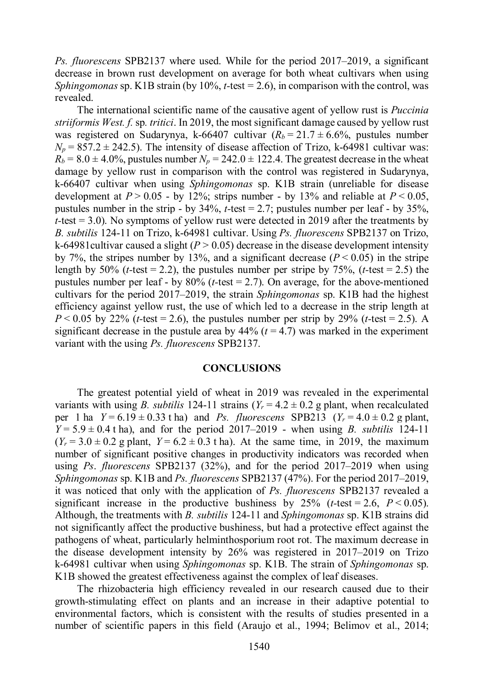*Ps. fluorescens* SPB2137 where used. While for the period 2017–2019, a significant decrease in brown rust development on average for both wheat cultivars when using *Sphingomonas* sp. K1B strain (by 10%, *t-*test = 2.6), in comparison with the control, was revealed.

The international scientific name of the causative agent of yellow rust is *Puccinia striiformis West. f.* sp*. tritici*. In 2019, the most significant damage caused by yellow rust was registered on Sudarynya, k-66407 cultivar  $(R_b = 21.7 \pm 6.6\%$ , pustules number  $N_p = 857.2 \pm 242.5$ ). The intensity of disease affection of Trizo, k-64981 cultivar was:  $R_b = 8.0 \pm 4.0\%$ , pustules number  $N_p = 242.0 \pm 122.4$ . The greatest decrease in the wheat damage by yellow rust in comparison with the control was registered in Sudarynya, k-66407 cultivar when using *Sphingomonas* sp. K1B strain (unreliable for disease development at  $P > 0.05$  - by 12%; strips number - by 13% and reliable at  $P < 0.05$ . pustules number in the strip - by 34%, *t-*test = 2.7; pustules number per leaf - by 35%, *t-*test = 3.0). No symptoms of yellow rust were detected in 2019 after the treatments by *B. subtilis* 124-11 on Trizo, k-64981 cultivar. Using *Ps. fluorescens* SPB2137 on Trizo, k-64981 cultivar caused a slight  $(P > 0.05)$  decrease in the disease development intensity by 7%, the stripes number by 13%, and a significant decrease  $(P < 0.05)$  in the stripe length by  $50\%$  (*t*-test = 2.2), the pustules number per stripe by  $75\%$ , (*t*-test = 2.5) the pustules number per leaf - by 80% (*t-*test = 2.7). On average, for the above-mentioned cultivars for the period 2017–2019, the strain *Sphingomonas* sp. K1B had the highest efficiency against yellow rust, the use of which led to a decrease in the strip length at *P* < 0.05 by 22% (*t*-test = 2.6), the pustules number per strip by 29% (*t*-test = 2.5). A significant decrease in the pustule area by  $44\%$  ( $t = 4.7$ ) was marked in the experiment variant with the using *Ps. fluorescens* SPB2137.

#### **CONCLUSIONS**

The greatest potential yield of wheat in 2019 was revealed in the experimental variants with using *B. subtilis* 124-11 strains  $(Y_r = 4.2 \pm 0.2$  g plant, when recalculated per 1 ha  $Y = 6.19 \pm 0.33$  t ha) and *Ps. fluorescens* SPB213 ( $Y_r = 4.0 \pm 0.2$  g plant, *Y* = 5.9 ± 0.4 t ha), and for the period 2017–2019 - when using *B. subtilis* 124-11  $(Y_r = 3.0 \pm 0.2 \text{ g plant}, Y = 6.2 \pm 0.3 \text{ tha})$ . At the same time, in 2019, the maximum number of significant positive changes in productivity indicators was recorded when using *Ps*. *fluorescens* SPB2137 (32%), and for the period 2017–2019 when using *Sphingomonas* sp. K1B and *Ps. fluorescens* SPB2137 (47%). For the period 2017–2019, it was noticed that only with the application of *Ps. fluorescens* SPB2137 revealed a significant increase in the productive bushiness by 25% ( $t$ -test = 2.6,  $P < 0.05$ ). Although, the treatments with *B. subtilis* 124-11 and *Sphingomonas* sp. K1B strains did not significantly affect the productive bushiness, but had a protective effect against the pathogens of wheat, particularly helminthosporium root rot. The maximum decrease in the disease development intensity by 26% was registered in 2017–2019 on Trizo k-64981 cultivar when using *Sphingomonas* sp. K1B. The strain of *Sphingomonas* sp. K1B showed the greatest effectiveness against the complex of leaf diseases.

The rhizobacteria high efficiency revealed in our research caused due to their growth-stimulating effect on plants and an increase in their adaptive potential to environmental factors, which is consistent with the results of studies presented in a number of scientific papers in this field (Araujo et al., 1994; Belimov et al., 2014;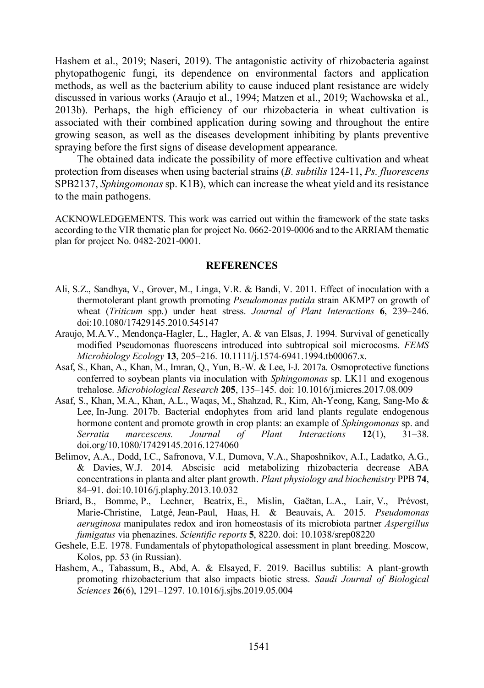Hashem et al., 2019; Naseri, 2019). The antagonistic activity of rhizobacteria against phytopathogenic fungi, its dependence on environmental factors and application methods, as well as the bacterium ability to cause induced plant resistance are widely discussed in various works (Araujo et al., 1994; Matzen et al., 2019; Wachowska et al., 2013b). Perhaps, the high efficiency of our rhizobacteria in wheat cultivation is associated with their combined application during sowing and throughout the entire growing season, as well as the diseases development inhibiting by plants preventive spraying before the first signs of disease development appearance.

The obtained data indicate the possibility of more effective cultivation and wheat protection from diseases when using bacterial strains (*B. subtilis* 124-11, *Ps. fluorescens* SPB2137, *Sphingomonas* sp. K1B), which can increase the wheat yield and its resistance to the main pathogens.

ACKNOWLEDGEMENTS. This work was carried out within the framework of the state tasks according to the VIR thematic plan for project No. 0662-2019-0006 and to the ARRIAM thematic plan for project No. 0482-2021-0001.

#### **REFERENCES**

- Ali, S.Z., Sandhya, V., Grover, M., Linga, V.R. & Bandi, V. 2011. Effect of inoculation with a thermotolerant plant growth promoting *Pseudomonas putida* strain AKMP7 on growth of wheat (*Triticum* spp.) under heat stress. *Journal of Plant Interactions* **6**, 239–246. doi:10.1080/17429145.2010.545147
- Araujo, M.A.V., Mendonça-Hagler, L., Hagler, A. & van Elsas, J. 1994. Survival of genetically modified Pseudomonas fluorescens introduced into subtropical soil microcosms. *FEMS Microbiology Ecology* **13**, 205–216. 10.1111/j.1574-6941.1994.tb00067.x.
- Asaf, S., Khan, A., Khan, M., Imran, Q., Yun, B.-W. & Lee, I-J. 2017a. Osmoprotective functions conferred to soybean plants via inoculation with *Sphingomonas* sp. LK11 and exogenous trehalose. *Microbiological Research* **205**, 135–145. doi: 10.1016/j.micres.2017.08.009
- Asaf, S., Khan, M.A., Khan, A.L., Waqas, M., Shahzad, R., Kim, Ah-Yeong, Kang, Sang-Mo & Lee, In-Jung. 2017b. Bacterial endophytes from arid land plants regulate endogenous hormone content and promote growth in crop plants: an example of *Sphingomonas* sp. and *Serratia marcescens. Journal of Plant Interactions* **12**(1). 31–38. *Serratia marcescens. Journal of Plant Interactions* **12**(1), 31–38. doi.org/10.1080/17429145.2016.1274060
- Belimov, A.A., Dodd, I.C., Safronova, V.I., Dumova, V.A., Shaposhnikov, A.I., Ladatko, A.G., & Davies, W.J. 2014. Abscisic acid metabolizing rhizobacteria decrease ABA concentrations in planta and alter plant growth. *Plant physiology and biochemistry* PPB **74**, 84–91. doi:10.1016/j.plaphy.2013.10.032
- Briard, B., Bomme, P., Lechner, Beatrix, E., Mislin, Gaëtan, L.A., Lair, V., Prévost, Marie-Christine, Latgé, Jean-Paul, Haas, H. & Beauvais, A. 2015. *Pseudomonas aeruginosa* manipulates redox and iron homeostasis of its microbiota partner *Aspergillus fumigatus* via phenazines. *Scientific reports* **5**, 8220. doi: 10.1038/srep08220
- Geshele, E.E. 1978. Fundamentals of phytopathological assessment in plant breeding. Moscow, Kolos, pp. 53 (in Russian).
- Hashem, A., Tabassum, B., Abd, A. & Elsayed, F. 2019. Bacillus subtilis: A plant-growth promoting rhizobacterium that also impacts biotic stress. *Saudi Journal of Biological Sciences* **26**(6), 1291–1297. 10.1016/j.sjbs.2019.05.004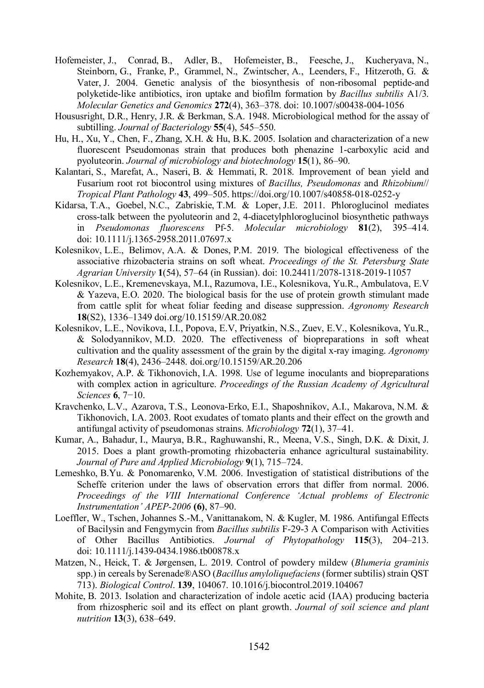- Hofemeister, J., Conrad, B., Adler, B., Hofemeister, B., Feesche, J., Kucheryava, N., Steinborn, G., Franke, P., Grammel, N., Zwintscher, A., Leenders, F., Hitzeroth, G. & Vater, J. 2004. Genetic analysis of the biosynthesis of non-ribosomal peptide-and polyketide-like antibiotics, iron uptake and biofilm formation by *Bacillus subtilis* A1/3. *Molecular Genetics and Genomics* **272**(4), 363–378. doi: 10.1007/s00438-004-1056
- Housusright, D.R., Henry, J.R. & Berkman, S.A. 1948. Microbiological method for the assay of subtilling. *Journal of Bacteriology* **55**(4), 545–550.
- Hu, H., Xu, Y., Chen, F., Zhang, X.H. & Hu, B.K. 2005. Isolation and characterization of a new fluorescent Pseudomonas strain that produces both phenazine 1-carboxylic acid and pyoluteorin. *Journal of microbiology and biotechnology* **15**(1), 86–90.
- Kalantari, S., Marefat, A., Naseri, B. & Hemmati, R. 2018. Improvement of bean yield and Fusarium root rot biocontrol using mixtures of *Bacillus, Pseudomonas* and *Rhizobium*// *Tropical Plant Pathology* **43**, 499–505. https://doi.org/10.1007/s40858-018-0252-y
- Kidarsa, T.A., Goebel, N.C., Zabriskie, T.M. & Loper, J.E. 2011. Phloroglucinol mediates cross‐talk between the pyoluteorin and 2, 4‐diacetylphloroglucinol biosynthetic pathways in *Pseudomonas fluorescens* Pf‐5. *Molecular microbiology* **81**(2), 395–414. doi: 10.1111/j.1365-2958.2011.07697.x
- Kolesnikov, L.E., Belimov, A.A. & Dones, P.M. 2019. The biological effectiveness of the associative rhizobacteria strains on soft wheat. *Proceedings of the St. Petersburg State Agrarian University* **1**(54), 57–64 (in Russian). doi: 10.24411/2078-1318-2019-11057
- Kolesnikov, L.E., Kremenevskaya, M.I., Razumova, I.E., Kolesnikova, Yu.R., Ambulatova, E.V & Yazeva, E.O. 2020. The biological basis for the use of protein growth stimulant made from cattle split for wheat foliar feeding and disease suppression. *Agronomy Research* **18**(S2), 1336–1349 doi.org/10.15159/AR.20.082
- Kolesnikov, L.E., Novikova, I.I., Popova, E.V, Priyatkin, N.S., Zuev, E.V., Kolesnikova, Yu.R., & Solodyannikov, M.D. 2020. The effectiveness of biopreparations in soft wheat cultivation and the quality assessment of the grain by the digital x-ray imaging. *Agronomy Research* **18**(4), 2436–2448. doi.org/10.15159/AR.20.206
- Kozhemyakov, A.P. & Tikhonovich, I.A. 1998. Use of legume inoculants and biopreparations with complex action in agriculture. *Proceedings of the Russian Academy of Agricultural Sciences* **6**, 7−10.
- Kravchenko, L.V., Azarova, T.S., Leonova-Erko, E.I., Shaposhnikov, A.I., Makarova, N.M. & Tikhonovich, I.A. 2003. Root exudates of tomato plants and their effect on the growth and antifungal activity of pseudomonas strains. *Microbiology* **72**(1), 37–41.
- Kumar, A., Bahadur, I., Maurya, B.R., Raghuwanshi, R., Meena, V.S., Singh, D.K. & Dixit, J. 2015. Does a plant growth-promoting rhizobacteria enhance agricultural sustainability. *Journal of Pure and Applied Microbiology* **9**(1), 715–724.
- Lemeshko, B.Yu. & Ponomarenko, V.M. 2006. Investigation of statistical distributions of the Scheffe criterion under the laws of observation errors that differ from normal. 2006. *Proceedings of the VIII International Conference 'Actual problems of Electronic Instrumentation' APEP-2006* **(6)**, 87–90.
- Loeffler, W., Tschen, Johannes S.-M., Vanittanakom, N. & Kugler, M. 1986. Antifungal Effects of Bacilysin and Fengymycin from *Bacillus subtilis* F‐29‐3 A Comparison with Activities of Other Bacillus Antibiotics. *Journal of Phytopathology* **115**(3), 204–213. doi: 10.1111/j.1439-0434.1986.tb00878.x
- Matzen, N., Heick, T. & Jørgensen, L. 2019. Control of powdery mildew (*Blumeria graminis* spp.) in cereals by Serenade®ASO (*Bacillus amyloliquefaciens* (former subtilis) strain QST 713). *Biological Control*. **139**, 104067. 10.1016/j.biocontrol.2019.104067
- Mohite, B. 2013. Isolation and characterization of indole acetic acid (IAA) producing bacteria from rhizospheric soil and its effect on plant growth. *Journal of soil science and plant nutrition* **13**(3), 638–649.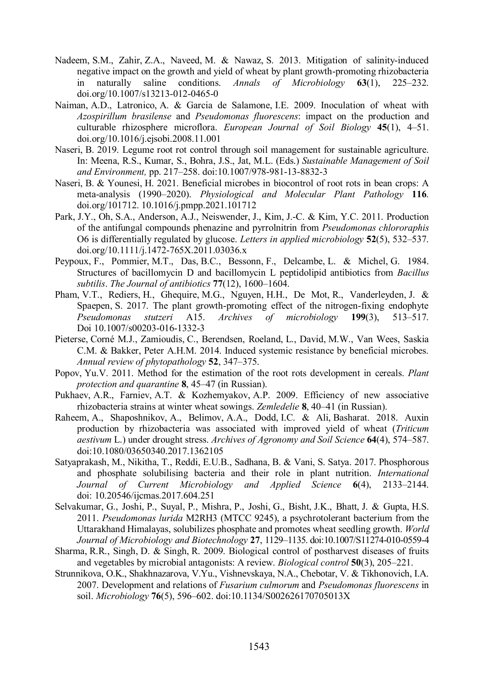- Nadeem, S.M., Zahir, Z.A., Naveed, M. & Nawaz, S. 2013. Mitigation of salinity-induced negative impact on the growth and yield of wheat by plant growth-promoting rhizobacteria in naturally saline conditions. *Annals of Microbiology* **63**(1), 225–232. doi.org/10.1007/s13213-012-0465-0
- Naiman, A.D., Latronico, A. & Garcia de Salamone, I.E. 2009. Inoculation of wheat with *Azospirillum brasilense* and *Pseudomonas fluorescens*: impact on the production and culturable rhizosphere microflora. *European Journal of Soil Biology* **45**(1), 4–51. doi.org/10.1016/j.ejsobi.2008.11.001
- Naseri, B. 2019. Legume root rot control through soil management for sustainable agriculture. In: Meena, R.S., Kumar, S., Bohra, J.S., Jat, M.L. (Eds.) *Sustainable Management of Soil and Environment,* pp. 217–258. doi:10.1007/978-981-13-8832-3
- Naseri, B. & Younesi, H. 2021. Beneficial microbes in biocontrol of root rots in bean crops: A meta-analysis (1990–2020). *Physiological and Molecular Plant Pathology* **116**. doi.org/101712. 10.1016/j.pmpp.2021.101712
- Park, J.Y., Oh, S.A., Anderson, A.J., Neiswender, J., Kim, J.‐C. & Kim, Y.C. 2011. Production of the antifungal compounds phenazine and pyrrolnitrin from *Pseudomonas chlororaphis* O6 is differentially regulated by glucose. *Letters in applied microbiology* **52**(5), 532–537. doi.org/10.1111/j.1472-765X.2011.03036.x
- Peypoux, F., Pommier, M.T., Das, B.C., Bessonn, F., Delcambe, L. & Michel, G. 1984. Structures of bacillomycin D and bacillomycin L peptidolipid antibiotics from *Bacillus subtilis*. *The Journal of antibiotics* **77**(12), 1600–1604.
- Pham, V.T., Rediers, H., Ghequire, M.G., Nguyen, H.H., De Mot, R., Vanderleyden, J. & Spaepen, S. 2017. The plant growth-promoting effect of the nitrogen-fixing endophyte *Pseudomonas stutzeri* A15. *Archives of microbiology* **199**(3), 513–517. Doi 10.1007/s00203-016-1332-3
- Pieterse, Corné M.J., Zamioudis, C., Berendsen, Roeland, L., David, M.W., Van Wees, Saskia C.M. & Bakker, Peter A.H.M. 2014. Induced systemic resistance by beneficial microbes. *Annual review of phytopathology* **52**, 347–375.
- Popov, Yu.V. 2011. Method for the estimation of the root rots development in cereals. *Plant protection and quarantine* **8**, 45–47 (in Russian).
- Pukhaev, A.R., Farniev, A.T. & Kozhemyakov, A.P. 2009. Efficiency of new associative rhizobacteria strains at winter wheat sowings. *Zemledelie* **8**, 40–41 (in Russian).
- Raheem, A., Shaposhnikov, A., Belimov, A.A., Dodd, I.C. & Ali, Basharat. 2018. Auxin production by rhizobacteria was associated with improved yield of wheat (*Triticum aestivum* L.) under drought stress. *Archives of Agronomy and Soil Science* **64**(4), 574–587. doi:10.1080/03650340.2017.1362105
- Satyaprakash, M., Nikitha, T., Reddi, E.U.B., Sadhana, B. & Vani, S. Satya. 2017. Phosphorous and phosphate solubilising bacteria and their role in plant nutrition. *International Journal of Current Microbiology and Applied Science* **6**(4), 2133–2144. doi: 10.20546/ijcmas.2017.604.251
- Selvakumar, G., Joshi, P., Suyal, P., Mishra, P., Joshi, G., Bisht, J.K., Bhatt, J. & Gupta, H.S. 2011. *Pseudomonas lurida* M2RH3 (MTCC 9245), a psychrotolerant bacterium from the Uttarakhand Himalayas, solubilizes phosphate and promotes wheat seedling growth. *World Journal of Microbiology and Biotechnology* **27**, 1129–1135. doi:10.1007/S11274-010-0559-4
- Sharma, R.R., Singh, D. & Singh, R. 2009. Biological control of postharvest diseases of fruits and vegetables by microbial antagonists: A review. *Biological control* **50**(3), 205–221.
- Strunnikova, O.K., Shakhnazarova, V.Yu., Vishnevskaya, N.A., Chebotar, V. & Tikhonovich, I.A. 2007. Development and relations of *Fusarium culmorum* and *Pseudomonas fluorescens* in soil. *Microbiology* **76**(5), 596–602. doi:10.1134/S002626170705013X